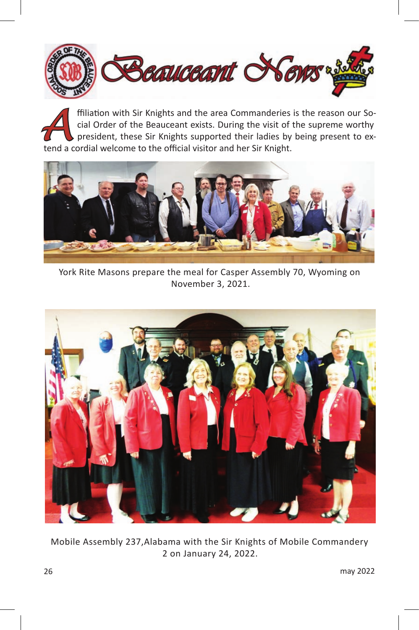

**A** ffiliation with Sir Knights and the area Commanderies is the reason our Social Order of the Beauceant exists. During the visit of the supreme worthy president, these Sir Knights supported their ladies by being present cial Order of the Beauceant exists. During the visit of the supreme worthy president, these Sir Knights supported their ladies by being present to extend a cordial welcome to the official visitor and her Sir Knight.



York Rite Masons prepare the meal for Casper Assembly 70, Wyoming on November 3, 2021.



Mobile Assembly 237,Alabama with the Sir Knights of Mobile Commandery 2 on January 24, 2022.